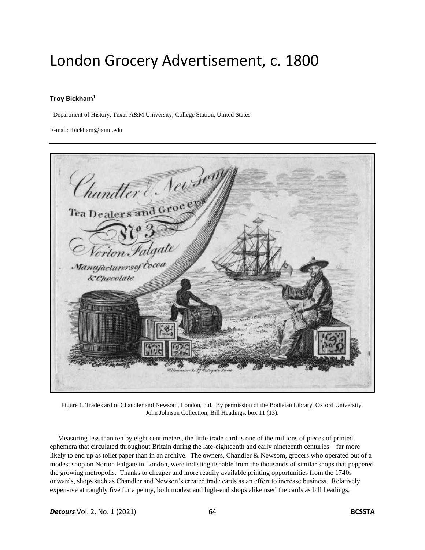## London Grocery Advertisement, c. 1800

## **Troy Bickham<sup>1</sup>**

<sup>1</sup> Department of History, Texas A&M University, College Station, United States

E-mail: tbickham@tamu.edu



Figure 1. Trade card of Chandler and Newsom, London, n.d. By permission of the Bodleian Library, Oxford University. John Johnson Collection, Bill Headings, box 11 (13).

Measuring less than ten by eight centimeters, the little trade card is one of the millions of pieces of printed ephemera that circulated throughout Britain during the late-eighteenth and early nineteenth centuries—far more likely to end up as toilet paper than in an archive. The owners, Chandler & Newsom, grocers who operated out of a modest shop on Norton Falgate in London, were indistinguishable from the thousands of similar shops that peppered the growing metropolis. Thanks to cheaper and more readily available printing opportunities from the 1740s onwards, shops such as Chandler and Newson's created trade cards as an effort to increase business. Relatively expensive at roughly five for a penny, both modest and high-end shops alike used the cards as bill headings,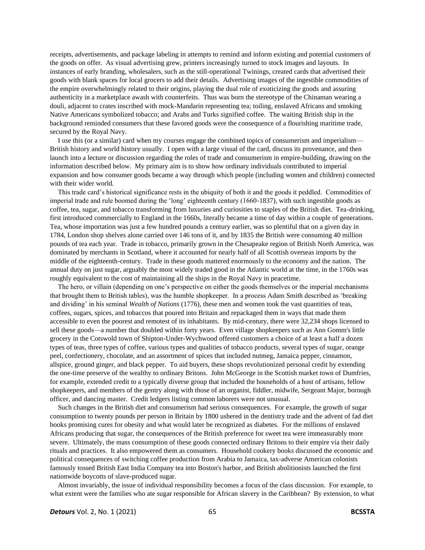receipts, advertisements, and package labeling in attempts to remind and inform existing and potential customers of the goods on offer. As visual advertising grew, printers increasingly turned to stock images and layouts. In instances of early branding, wholesalers, such as the still-operational Twinings, created cards that advertised their goods with blank spaces for local grocers to add their details. Advertising images of the ingestible commodities of the empire overwhelmingly related to their origins, playing the dual role of exoticizing the goods and assuring authenticity in a marketplace awash with counterfeits. Thus was born the stereotype of the Chinaman wearing a douli, adjacent to crates inscribed with mock-Mandarin representing tea; toiling, enslaved Africans and smoking Native Americans symbolized tobacco; and Arabs and Turks signified coffee. The waiting British ship in the background reminded consumers that these favored goods were the consequence of a flourishing maritime trade, secured by the Royal Navy.

I use this (or a similar) card when my courses engage the combined topics of consumerism and imperialism— British history and world history usually. I open with a large visual of the card, discuss its provenance, and then launch into a lecture or discussion regarding the roles of trade and consumerism in empire-building, drawing on the information described below. My primary aim is to show how ordinary individuals contributed to imperial expansion and how consumer goods became a way through which people (including women and children) connected with their wider world.

This trade card's historical significance rests in the ubiquity of both it and the goods it peddled. Commodities of imperial trade and rule boomed during the 'long' eighteenth century (1660-1837), with such ingestible goods as coffee, tea, sugar, and tobacco transforming from luxuries and curiosities to staples of the British diet. Tea-drinking, first introduced commercially to England in the 1660s, literally became a time of day within a couple of generations. Tea, whose importation was just a few hundred pounds a century earlier, was so plentiful that on a given day in 1784, London shop shelves alone carried over 146 tons of it, and by 1835 the British were consuming 40 million pounds of tea each year. Trade in tobacco, primarily grown in the Chesapeake region of British North America, was dominated by merchants in Scotland, where it accounted for nearly half of all Scottish overseas imports by the middle of the eighteenth-century. Trade in these goods mattered enormously to the economy and the nation. The annual duty on just sugar, arguably the most widely traded good in the Atlantic world at the time, in the 1760s was roughly equivalent to the cost of maintaining all the ships in the Royal Navy in peacetime.

The hero, or villain (depending on one's perspective on either the goods themselves or the imperial mechanisms that brought them to British tables), was the humble shopkeeper. In a process Adam Smith described as 'breaking and dividing' in his seminal *Wealth of Nations* (1776), these men and women took the vast quantities of teas, coffees, sugars, spices, and tobaccos that poured into Britain and repackaged them in ways that made them accessible to even the poorest and remotest of its inhabitants. By mid-century, there were 32,234 shops licensed to sell these goods—a number that doubled within forty years. Even village shopkeepers such as Ann Gomm's little grocery in the Cotswold town of Shipton-Under-Wychwood offered customers a choice of at least a half a dozen types of teas, three types of coffee, various types and qualities of tobacco products, several types of sugar, orange peel, confectionery, chocolate, and an assortment of spices that included nutmeg, Jamaica pepper, cinnamon, allspice, ground ginger, and black pepper. To aid buyers, these shops revolutionized personal credit by extending the one-time preserve of the wealthy to ordinary Britons. John McGeorge in the Scottish market town of Dumfries, for example, extended credit to a typically diverse group that included the households of a host of artisans, fellow shopkeepers, and members of the gentry along with those of an organist, fiddler, midwife, Sergeant Major, borough officer, and dancing master. Credit ledgers listing common laborers were not unusual.

Such changes in the British diet and consumerism had serious consequences. For example, the growth of sugar consumption to twenty pounds per person in Britain by 1800 ushered in the dentistry trade and the advent of fad diet books promising cures for obesity and what would later be recognized as diabetes. For the millions of enslaved Africans producing that sugar, the consequences of the British preference for sweet tea were immeasurably more severe. Ultimately, the mass consumption of these goods connected ordinary Britons to their empire via their daily rituals and practices. It also empowered them as consumers. Household cookery books discussed the economic and political consequences of switching coffee production from Arabia to Jamaica, tax-adverse American colonists famously tossed British East India Company tea into Boston's harbor, and British abolitionists launched the first nationwide boycotts of slave-produced sugar.

Almost invariably, the issue of individual responsibility becomes a focus of the class discussion. For example, to what extent were the families who ate sugar responsible for African slavery in the Caribbean? By extension, to what